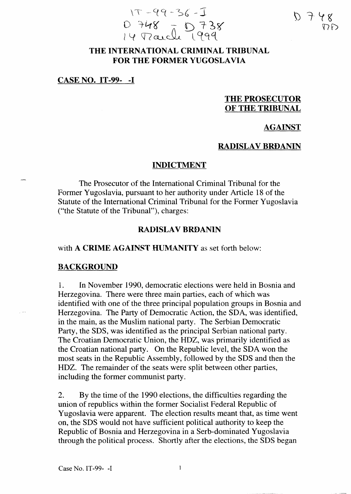

## THE INTERNATIONAL CRIMINAL TRIBUNAL FOR THE FORMER YUGOSLAVIA

#### CASE NO. IT-99- -I

# THE PROSECUTOR OF THE TRIBUNAL

### AGAINST

### RADISLAV BRĐANIN

#### INDICTMENT

The Prosecutor of the International Criminal Tribunal for the Former Yugoslavia, pursuant to her authority under Article 18 of the Statute of the International Criminal Tribunal for the Former Yugoslavia ("the Statute of the Tribunal"), charges:

#### RADISLAV BRĐANIN

## with A CRIME AGAINST HUMANITY as set forth below:

#### BACKGROUND

 $\sim$ 

l. In November 1990, democratic elections were held in Bosnia and Herzegovina. There were three main parties, each of which was identified with one of the three principal population groups in Bosnia and Herzegovina. The Party of Democratic Action, the SDA, was identified, in the main, as the Muslim national party. The Serbian Democratic Party, the SDS, was identified as the principal Serbian national party. The Croatian Democratic Union, the HDZ, was primarily identified as the Croatian national party. On the Republic level, the SDA won the most seats in the Republic Assembly, followed by the SDS and then the HDZ. The remainder of the seats were split between other parties, including the former communist party.

2. By the time of the 1990 elections, the difficulties regarding the union of republics within the former Socialist Federal Republic of Yugoslavia were apparent. The election results meant that, as time went on, the SDS would not have sufficient political authority to keep the Republic of Bosnia and Herzegovina in a Serb-dominated Yugoslavia through the political process. Shortly after the elections, the SDS began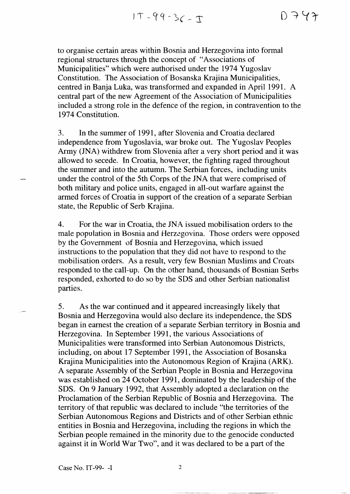to organise certain areas within Bosnia and Herzegovina into formal regional structures through the concept of "Associations of Municipalities" which were authorised under the 1974 Yugoslav Constitution. The Association of Bosanska Krajina Municipalities, centred in Banja Luka, was transformed and expanded in April 1991. A central part of the new Agreement of the Association of Municipalities included a strong role in the defence of the region, in contravention to the 1974 Constitution.

3. In the summer of 1991, after Slovenia and Croatia declared independence from Yugoslavia, war broke out. The Yugoslav Peoples Army (JNA) withdrew from Slovenia after a very short period and it was allowed to secede. In Croatia, however, the fighting raged throughout the summer and into the autumn. The Serbian forces, including units under the control of the 5th Corps of the JNA that were comprised of both military and police units, engaged in all-out warfare against the armed forces of Croatia in support of the creation of a separate Serbian state, the Republic of Serb Krajina.

4. For the war in Croatia, the JNA issued mobilisation orders to the male population in Bosnia and Herzegovina. Those orders were opposed by the Government of Bosnia and Herzegovina, which issued instructions to the population that they did not have to respond to the mobilisation orders. As a result, very few Bosnian Muslims and Croats responded to the call-up. On the other hand, thousands of Bosnian Serbs responded, exhorted to do so by the SDS and other Serbian nationalist parties.

5. As the war continued and it appeared increasingly likely that Bosnia and Herzegovina would also declare its independence, the SDS began in eamest the creation of a separate Serbian territory in Bosnia and Herzegovina. In September 1991, the various Associations of Municipalities were transformed into Serbian Autonomous Districts, including, on about 17 September 1991, the Association of Bosanska Krajina Municipalities into the Autonomous Region of Krajina (ARK). A separate Assembly of the Serbian People in Bosnia and Herzegovina was established on 24 October 1991, dominated by the leadership of the SDS. On 9 January 1992, that Assembly adopted a declaration on the Proclamation of the Serbian Republic of Bosnia and Herzegovina. The territory of that republic was declared to include "the territories of the Serbian Autonomous Regions and Districts and of other Serbian ethnic entities in Bosnia and Herzegovina, including the regions in which the Serbian people remained in the minority due to the genocide conducted against it in World War Two", and it was declared to be a part of the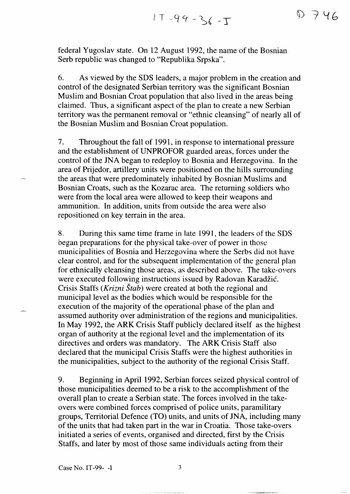federal Yugoslav state. On 12 August 1992, the name of the Bosnian Serb republic was changed to "Republika Srpska".

6. As viewed by the SDS leaders, a major problem in the creation and control of the designated Serbian territory was the significant Bosnian Muslim and Bosnian Croat population that also lived in the areas being claimed. Thus, a significant aspect of the plan to create a new Serbian territory was the permanent removal or "ethnic cleansing" of nearly all of the Bosnian Muslim and Bosnian Croat population.

7. Throughout the fall of 1991, in response to international pressure and the establishment of UNPROFOR guarded areas, forces under the control of the JNA began to redeploy to Bosnia and Herzegovina. In the area of Prijedor, artillery units were positioned on the hills surrounding the areas that were predominately inhabited by Bosnian Muslims and Bosnian Croats, such as the Kozarac area. The returning soldiers who were from the local area were allowed to keep their weapons and ammunition. In addition, units from outside the area were also repositioned on key terrain in the area.

8, During this same time frame in late 199], the leaders of the SDS began preparations for the physical take-over of power in those municipalities of Bosnia and Herzegovina where the Serbs did not have clear control, and for the subsequent implementation of the general plan for ethnic ally cleansing those areas, as described above. The take-overs were executed following instructions issued by Radovan Karadžić. Crisis Staffs *(Krizni Štab)* were created at both the regional and municipal level as the bodies which would be responsible for the execution of the majority of the operational phase of the plan and assumed authority over administration of the regions and municipalities. In May 1992, the ARK Crisis Staff publicly declared itself as the highest organ of authority at the regional level and the implementation of its directives and orders was mandatory. The ARK Crisis Staff also declared that the municipal Crisis Staffs were the highest authorities in the municipalities, subject to the authority of the regional Crisis Staff.

9. Beginning in April 1992, Serbian forces seized physical control of those municipalities deemed to be a risk to the accomplishment of the overall plan to create a Serbian state. The forces involved in the takeovers were combined forces comprised of police units, paramilitary groups, Territorial Defence (TO) units, and units of JNA, including many of the units that had taken part in the war in Croatia. Those take-overs initiated a series of events, organised and directed, first by the Crisis Staffs, and later by most of those same individuals acting from their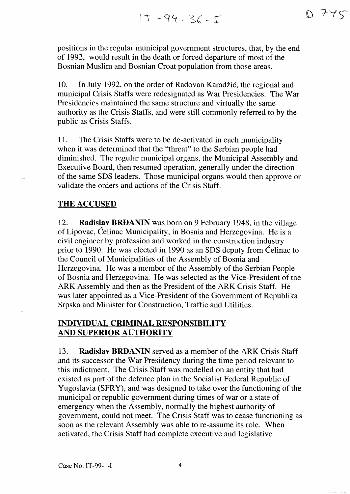positions in the regular municipal government structures, that, by the end of 1992, would result in the death or forced departure of most of the Bosnian Muslim and Bosnian Croat population from those areas.

10. In July 1992, on the order of Radovan Karadžić, the regional and municipal Crisis Staffs were redesignated as War Presidencies. The War Presidencies maintained the same structure and virtually the same authority as the Crisis Staffs, and were still commonly referred to by the public as Crisis Staffs.

11. The Crisis Staffs were to be de-activated in each municipality when it was determined that the "threat" to the Serbian people had diminished. The regular municipal organs, the Municipal Assembly and Executive Board, then resumed operation, generally under the direction of the same SDS leaders. Those municipal organs would then approve or validate the orders and actions of the Crisis Staff.

## THE ACCUSED

12. **Radislav** BRĐANIN was born on 9 February 1948, in the village of Lipovac, Ćelinac Municipality, in Bosnia and Herzegovina. He is a civil engineer by profession and worked in the construction industry prior to 1990. He was elected in 1990 as an SDS deputy from Ćelinac to the Council of Municipalities of the Assembly of Bosnia and Herzegovina. He was a member of the Assembly of the Serbian People of Bosnia and Herzegovina. He was selected as the Vice-President of the ARK Assembly and then as the President of the ARK Crisis Staff. He was later appointed as a Vice-President of the Government of Republika Srpska and Minister for Construction, Traffic and Utilities.

# **INDIVIDUAL CRIMINAL RESPONSIBILITY AND SUPERIOR AUTHORITY**

13. **Radislav** BRĐANIN served as a member of the ARK Crisis Staff and its successor the War Presidency during the time period relevant to this indictment. The Crisis Staff was modelled on an entity that had existed as part of the defence plan in the Socialist Federal Republic of Yugoslavia (SFRY), and was designed to take over the functioning of the municipal or republic government during times of war or a state of emergency when the Assembly, normally the highest authority of government, could not meet. The Crisis Staff was to cease functioning as soon as the relevant Assembly was able to re-assume its role. When activated, the Crisis Staff had complete executive and legislative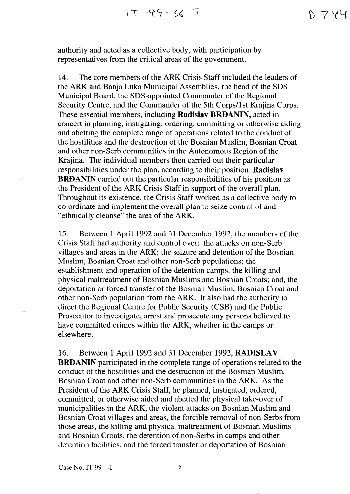N 7 Y Y

authority and acted as a collective body, with participation by representatives from the critical areas of the government.

14. The core members of the ARK Crisis Staff included the leaders of the ARK and Banja Luka Municipal Assemblies, the head of the SDS Municipal Board, the SDS-appointed Commander of the Regional Security Centre, and the Commander of the 5th Corps/1st Krajina Corps. These essential members, including **Radislav** BRĐANIN, acted in concert in planning, instigating, ordering, committing or otherwise aiding and abetting the complete range of operations related to the conduct of the hostilities and the destruction of the Bosnian Muslim, Bosnian Croat and other non-Serb communities in the Autonomous Region of the Krajina. The individual members then carried out their particular responsibilities under the plan, according to their position. **Radislav**  BRĐANIN carried out the particular responsibilities of his position as the President of the ARK Crisis Staff in support of the overall plan. Throughout its existence, the Crisis Staff worked as a collective body to co-ordinate and implement the overall plan to seize control of and "ethnically cleanse" the area of the ARK.

15. Between 1 April 1992 and 31 December 1992, the members of the Crisis Staff had authority and control over: the attacks on non-Serb villages and areas in the ARK; the seizure and detention of the Bosnian Muslim, Bosnian Croat and other non-Serb populations; the establishment and operation of the detention camps; the killing and physical maltreatment of Bosnian Muslims and Bosnian Croats; and, the deportation or forced transfer of the Bosnian Muslim, Bosnian Croat and other non-Serb population from the ARK. It also had the authority to direct the Regional Centre for Public Security (CSB) and the Public Prosecutor to investigate, arrest and prosecute any persons believed to have committed crimes within the ARK, whether in the camps or elsewhere.

16. Between l April 1992 and 31 December 1992, **RADISLAV**  BRĐANIN participated in the complete range of operations related to the conduct of the hostilities and the destruction of the Bosnian Muslim, Bosnian Croat and other non-Serb communities in the ARK. As the President of the ARK Crisis Staff, he planned, instigated, ordered, committed, or otherwise aided and abetted the physical take-over of municipalities in the ARK, the violent attacks on Bosnian Muslim and Bosnian Croat villages and areas, the forcible removal of non-Serbs from those areas, the killing and physical maltreatment of Bosnian Muslims and Bosnian Croats, the detention of non-Serbs in camps and other detention facilities, and the forced transfer or deportation of Bosnian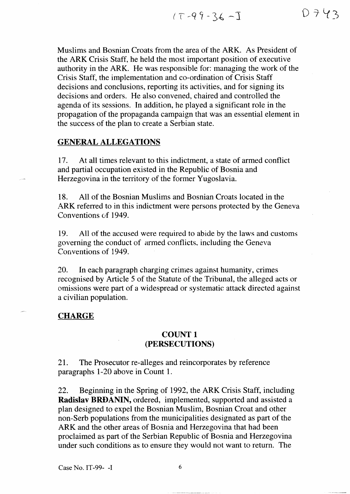Muslims and Bosnian Croats from the area of the ARK. As President of the ARK Crisis Staff, he held the most important position of executive authority in the ARK. He was responsible for: managing the work of the Crisis Staff, the implementation and co-ordination of Crisis Staff decisions and conclusions, reporting its activities, and for signing its decisions and orders. He also convened, chaired and controlled the agenda of its sessions. In addition, he played a significant role in the propagation of the propaganda campaign that was an essential element in the success of the plan to create a Serbian state.

## GENERAL ALLEGATIONS

17. At all times relevant to this indictment, a state of armed conflict and partial occupation existed in the Republic of Bosnia and Herzegovina in the territory of the former Yugoslavia.

18. All of the Bosnian Muslims and Bosnian Croats located in the ARK referred to in this indictment were persons protected by the Geneva Conventions of 1949.

19. All of the accused were required to abide by the laws and customs governing the conduct of armed conflicts, including the Geneva Conventions of 1949.

20. In each paragraph charging crimes against humanity, crimes recognised by Article 5 of the Statute of the 'Tribunal, the alleged acts or omissions were part of a widespread or systematic attack directed against a civilian population.

### **CHARGE**

## COUNT 1 (PERSECUTIONS)

21. The Prosecutor re-alleges and reincorporates by reference paragraphs 1-20 above in Count 1.

22. Beginning in the Spring of 1992, the ARK Crisis Staff, including Radislav BRĐANIN, ordered, implemented, supported and assisted a plan designed to expel the Bosnian Muslim, Bosnian Croat and other non-Serb populations from the municipalities designated as part of the ARK and the other areas of Bosnia and Herzegovina that had been proclaimed as part of the Serbian Republic of Bosnia and Herzegovina under such conditions as to ensure they would not want to return. The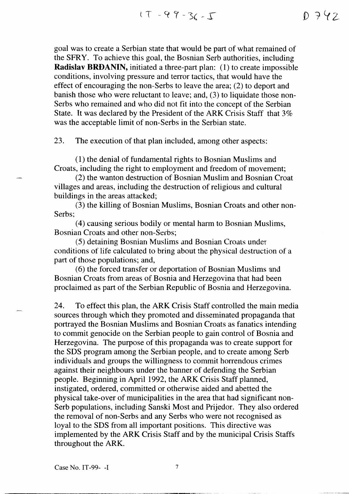goal was to create a Serbian state that would be part of what remained of the SFRY. To achieve this goal, the Bosnian Serb authorities, including **Radislav** BRĐANIN, initiated a three-part plan: (1) to create impossible conditions, involving pressure and terror tactics, that would have the effect of encouraging the non-Serbs to leave the area; (2) to deport and banish those who were reluctant to leave; and, (3) to liquidate those non-Serbs who remained and who did not fit into the concept of the Serbian State. It was declared by the President of the ARK Crisis Staff that 3% was the acceptable limit of non-Serbs in the Serbian state.

23. The execution of that plan included, among other aspects:

(1) the denial of fundamental rights to Bosnian Muslims and Croats, including the right to employment and freedom of movement;

(2) the wanton destruction of Bosnian Muslim and Bosnian Croat villages and areas, including the destruction of religious and cu1tural buildings in the areas attacked;

(3) the killing of Bosnian Muslims, Bosnian Croats and other non-Serbs;

(4) causing serious bodily or mental harm to Bosnian Muslims, Bosnian Croats and other non-Serbs;

(5) detaining Bosnian Muslims and Bosnian Croats under conditions of life calculated to bring about the physical destruction of a part of those populations; and,

 $(6)$  the forced transfer or deportation of Bosnian Muslims and Bosnian Croats from areas of Bosnia and Herzegovina that had been proclaimed as part of the Serbian Republic of Bosnia and Herzegovina.

24. To effect this plan, the ARK Crisis Staff controlled the main media sources through which they promoted and disseminated propaganda that portrayed the Bosnian Muslims and Bosnian Croats as fanatics intending to commit genocide on the Serbian people to gain control of Bosnia and Herzegovina. The purpose of this propaganda was to create support for the SDS program among the Serbian people, and to create among Serb individuals and groups the willingness to commit horrendous crimes against their neighbours under the banner of defending the Serbian people. Beginning in April 1992, the ARK Crisis Staff planned, instigated, ordered, committed or otherwise aided and abetted the physical take-over of municipalities in the area that had significant non-Serb populations, including Sanski Most and Prijedor. They also ordered the removal of non-Serbs and any Serbs who were not recognised as loyal to the SDS from all important positions. This directive was implemented by the ARK Crisis Staff and by the municipal Crisis Staffs throughout the ARK.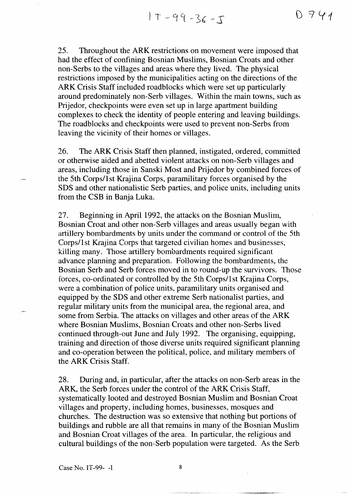$17 - 99 - 36 - 5$ 

25. Throughout the ARK restrictions on movement were imposed that had the effect of confining Bosnian Muslims, Bosnian Croats and other non-Serbs to the villages and areas where they 1ived. The physical restrictions imposed by the municipalities acting on the directions of the ARK Crisis Staff included roadblocks which were set up particularly around predominately non-Serb villages. Within the main towns, such as Prijedor, checkpoints were even set up in large apartment building complexes to check the identity of people entering and leaving buildings. The roadblocks and checkpoints were used to prevent non-Serbs from leaving the vicinity of their homes or villages.

26. The ARK Crisis Staff then planned, instigated, ordered, committed or otherwise aided and abetted violent attacks on non-Serb villages and areas, including those in Sanski Most and Prijedor by combined forces of the 5th Corps/l st Krajina Corps, paramilitary forces organised by the SDS and other nationalistic Serb parties, and police units, including units from the CSB in Banja Luka.

27. Beginning in April 1992, the attacks on the Bosnian Muslirn, Bosnian Croat and other non-Serb villages and areas usualJy began with artillery bombardments by units under the command or control of the 5th Corps/1st Krajina Corps that targeted civilian homes and businesses, killing many. Those artillery bombardments required significant advance planning and preparation. Following the bombardments, the Bosnian Serb and Serb forces moved in to round-up the survivors. 'Those forces, co-ordinated or controlled by the 5th Corps/I st Krajina Corps, were a combination of police units, paramilitary units organised and equipped by the SDS and other extreme Serb nationa1ist parties, and regular military units from the municipal area, the regional area, and some from Serbia. The attacks on villages and other areas of the ARK where Bosnian Muslims, Bosnian Croats and other non-Serbs lived continued through-out June and July 1992. The organising, equipping, training and direction of those diverse units required significant planning and co-operation between the political, police, and military members of the ARK Crisis Staff.

28. During and, in particular, after the attacks on non-Serb areas in the ARK, the Serb forces under the control of the ARK Crisis Staff, systematically looted and destroyed Bosnian Muslim and Bosnian Croat villages and property, including homes, businesses, mosques and churches. The destruction was so extensive that nothing but portions of buildings and rubble are all that remains in many of the Bosnian Muslim and Bosnian Croat villages of the area. In particular, the religious and cultural buildings of the non-Serb population were targeted. As the Serb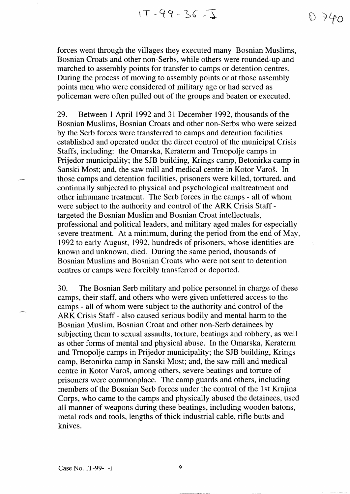$1T - 99 - 36 - 1$ 

 $D740$ 

forces went through the villages they executed many Bosnian Muslims, Bosnian Croats and other non-Serbs, while others were rounded-up and marched to assembly points for transfer to camps or detention centres. During the process of moving to assembly points or at those assembly points men who were considered of military age or had served as policeman were often pulled out of the groups and beaten or executed.

29. Between 1 April 1992 and 31 December 1992, thousands of the Bosnian Muslims, Bosnian Croats and other non-Serbs who were seized by the Serb forces were transferred to camps and detention facilities established and operated under the direct control of the municipal Crisis Staffs, including: the Omarska, Keraterm and Trnopolje camps in Prijedor municipality; the SJB building, Krings camp, Betonirka camp in Sanski Most; and, the saw mill and medical centre in Kotor Varoš. In those camps and detention facilities, prisoners were killed, tortured, and continually subjected to physical and psychological maltreatment and other inhumane treatment. The Serb forces in the camps - all of whom were subject to the authority and control of the ARK Crisis Staff targeted the Bosnian Muslim and Bosnian Croat intellectuals, professional and political leaders, and military aged males for especially severe treatment. At a minimum, during the period from the end of May, 1992 to early August, 1992, hundreds of prisoners, whose identities are known and unknown, died. During the same period, thousands of Bosnian Muslims and Bosnian Croats who were not sent to detention centres or camps were forcibly transferred or deported.

30. The Bosnian Serb military and police personnel in charge of these camps, their staff, and others who were given unfettered access to the camps - all of whom were subject to the authority and control of the ARK Crisis Staff - also caused serious bodily and mental harm to the Bosnian Muslim, Bosnian Croat and other non-Serb detainees by subjecting them to sexual assaults, torture, beatings and robbery, as well as other forms of mental and physical abuse. In the Omarska, Keraterm and Tmopolje camps in Prijedor municipality; the SJB building, Krings camp, Betonirka camp in Sanski Most; and, the saw mill and medical centre in Kotor Varoš, among others, severe beatings and torture of prisoners were commonplace. The camp guards and others, including members of the Bosnian Serb forces under the control of the 1st Krajina Corps, who came to the camps and physically abused the detainees, used all manner of weapons during these beatings, including wooden batons, metal rods and tools, lengths of thick industrial cable, rifle butts and knives.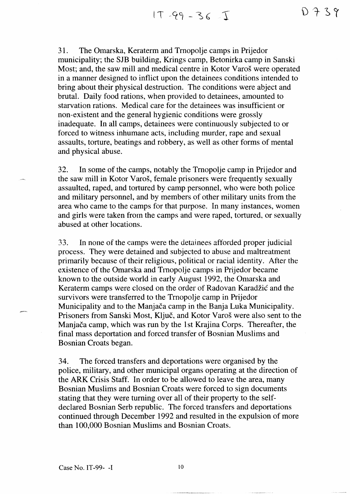$17 - 99 - 36 - 1$ 

31. The Omarska, Keraterm and Tmopolje camps in Prijedor municipality; the SJB building, Krings camp, Betonirka camp in Sanski Most; and, the saw mill and medical centre in Kotor Varoš were operated in a manner designed to inflict upon the detainees conditions intended to bring about their physical destruction. The conditions were abject and brutal. Daily food rations, when provided to detainees, amounted to starvation rations. Medical care for the detainees was insufficient or non-existent and the general hygienic conditions were grossly inadequate. In all camps, detainees were continuously subjected to or forced to witness inhumane acts, including murder, rape and sexual assaults, torture, beatings and robbery, as well as other forms of mental and physical abuse.

32. In some of the carnps, notably the Trnopolje camp in Prijedor and the saw mill in Kotor Varoš, female prisoners were frequently sexually assaulted, raped, and tortured by camp personnel, who were both police and military personnel, and by members of other military units from the area who came to the camps for that purpose. In many instances, women and girls were taken from the camps and were raped, tortured, or sexually abused at other locations.

33. In none of the camps were the detainees afforded proper judicial process. They were detained and subjected to abuse and maltreatment primarily because of their religious, political or racial identity. After the existence of the Omarska and Trnopolje camps in Prijedor became known to the outside world in early August 1992, the Omarska and Keraterm camps were closed on the order of Radovan Karadžić and the survivors were transferred to the Trnopolje camp in Prijedor Municipality and to the Manjača camp in the Banja Luka Municipality. Prisoners from Sanski Most, Ključ, and Kotor Varoš were also sent to the Manjača camp, which was run by the Ist Krajina Corps. Thereafter, the final mass deportation and forced transfer of Bosnian Muslims and Bosnian Croats began.

34. The forced transfers and deportations were organised by the police, military, and other municipal organs operating at the direction of the ARK Crisis Staff. In order to be allowed to leave the area, many Bosnian Muslims and Bosnian Croats were forced to sign documents stating that they were turning over all of their property to the selfdeclared Bosnian Serb republic. The forced transfers and deportations continued through December 1992 and resulted in the expulsion of more than 100,000 Bosnian Muslims and Bosnian Croats.